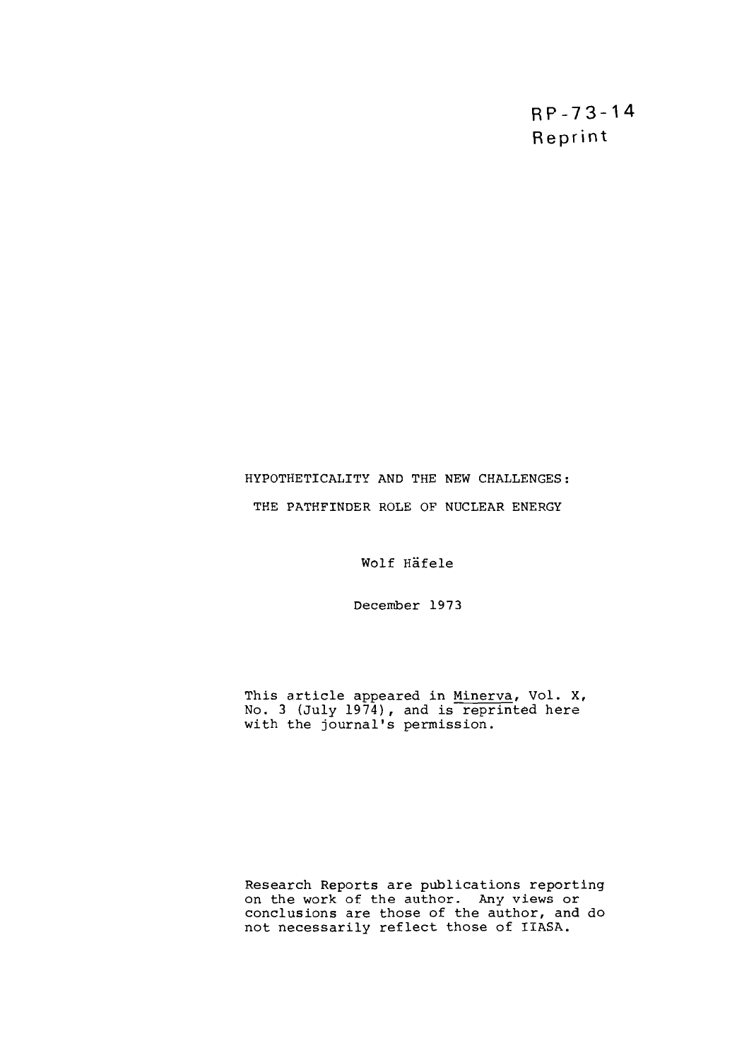RP-73-14 Reprint

## HYPOTHETICALITY AND THE **NEW** CHALLENGES: THE PATHFINDER ROLE OF NUCLEAR ENERGY

Wolf Häfele

December 1973

This article appeared in Minerva, Vol. **XI**  No. **3** (July 1974), and is reprinted here with the journal's permission.

Research Reports are publications reporting on the work of the author. **Any** views or conclusions are those of the author, and do not necessarily reflect those of IIASA.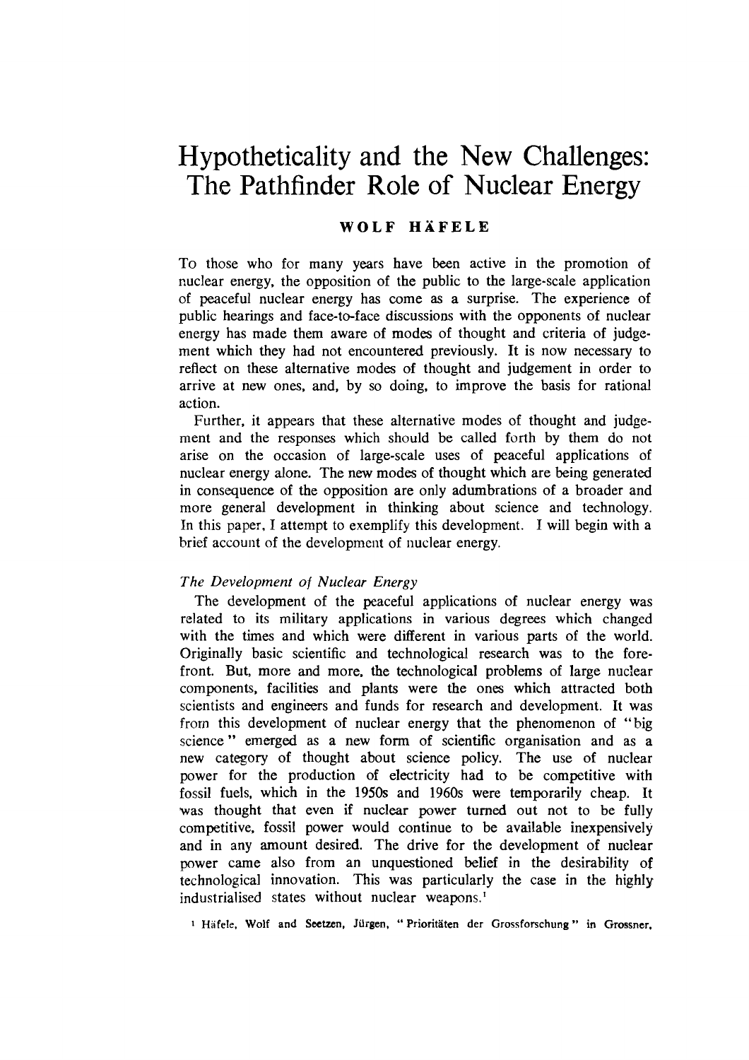# Hypotheticality and the New Challenges: The Pathfinder Role of Nuclear Energy

#### **WOLF HAFELE**

To those who for many years have been active in the promotion of nuclear energy, the opposition of the public to the large-scale application of peaceful nuclear energy has come as a surprise. The experience of public hearings and face-to-face discussions with the opponents of nuclear energy has made them aware of modes of thought and criteria of judgement which they had not encountered previously. It is now necessary to reflect on these alternative modes of thought and judgement in order to arrive at new ones, and, by so doing, to improve the basis for rational action.

Further, it appears that these alternative modes of thought and judgement and the responses which should be called forth by them do not arise on the occasion of large-scale uses of peaceful applications of nuclear energy alone. The new modes of thought which are being generated in consequence of the opposition are only adumbrations of a broader and more general development in thinking about science and technology. In this paper, I attempt to exemplify this development. I will begin with a brief account of the development of nuclear energy.

#### *The Development of Nuclear Energy*

The development of the peaceful applications of nuclear energy was related to its military applications in various degrees which changed with the times and which were different in various parts of the world. Originally basic scientific and technological research was to the forefront. But, more and more, the technological problems of large nuclear components, facilities and plants were the ones which attracted both scientists and engineers and funds for research and development. It was frorn this development of nuclear energy that the phenomenon of "big science " emerged as a new form of scientific organisation and as a new category of thought about science policy. The use of nuclear power for the production of electricity had to be competitive with fossil fuels, which in the 1950s and 1960s were temporarily cheap. It was thought that even if nuclear power turned out not to be fully competitive, fossil power would continue to be available inexpensively and in any amount desired. The drive for the development of nuclear power came also from an unquestioned belief in the desirability of technological innovation. This was particularly the case in the highly industrialised states without nuclear weapons.'

**1** Hafele. Wolf and Seetzen, Jiirgen, " Prioritaten der Grossfonchung " in Grossner.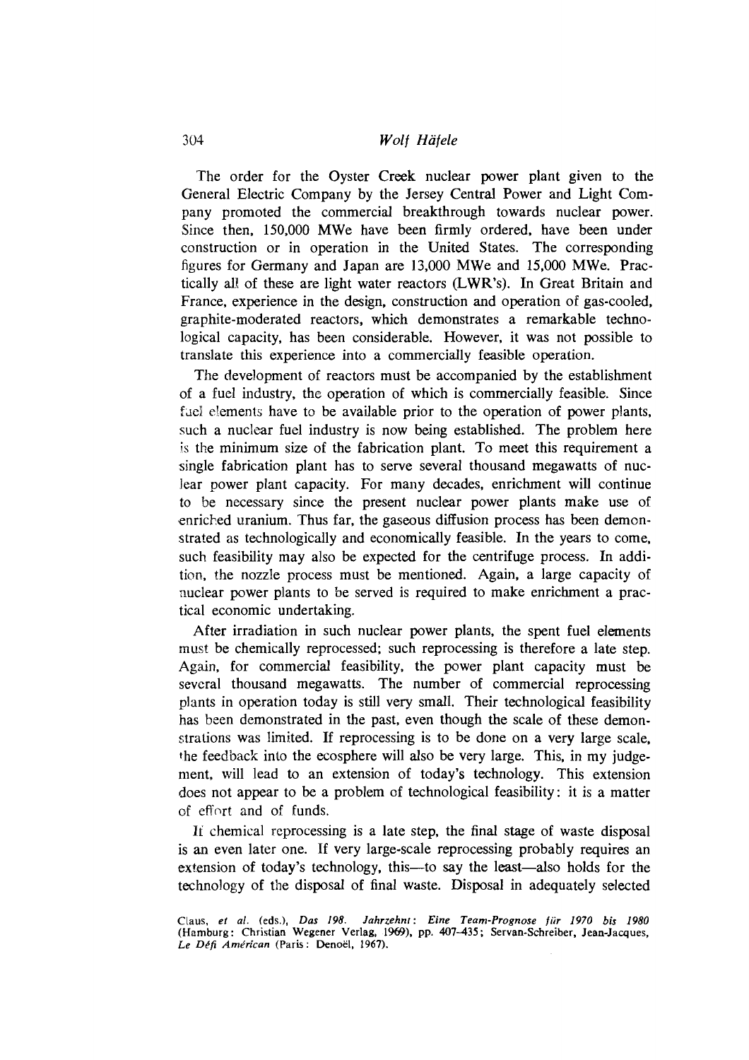#### 3 **03** *Wolf Hafele*

The order for the Oyster Creek nuclear power plant given to the General Electric Company by the Jersey Central Power and Light Company promoted the commercial breakthrough towards nuclear power. Since then, 150,000 MWe have been firmly ordered, have been under construction or in operation in the United States. The corresponding figures for Germany and Japan are 13,000 MWe and 15,000 MWe. Practically **all** of these are light water reactors (LWR's). In Great Britain and France, experience in the design, construction and operation of gas-cooled, graphite-moderated reactors, which demonstrates a remarkable technological capacity, has been considerable. However, it was not possible to translate this experience into a commercially feasible operation.

The development of reactors must be accompanied by the establishment of a fuel industry, the operation of which is commercially feasible. Since fuel elements have to be available prior to the operation of power plants, such a nuclear fuel industry is now being established. The problem here is the minimum size of the fabrication plant. To meet this requirement a single fabrication plant has to serve several thousand megawatts of nuclear power plant capacity. For many decades, enrichment will continue to be necessary since the present nuclear power plants make use of cnricbed uranium. Thus far, the gaseous diffusion process has been demonstrated as technologically and economically feasible. In the years to come, such feasibility may also be expected for the centrifuge process. In addition, the nozzle process must be mentioned. Again, a large capacity of nuclear power plants to be served is required to make enrichment a practical economic undertaking.

After irradiation in such nuclear power plants, the spent fuel elements must be chemically reprocessed; such reprocessing is therefore a late step. Again, for commercial feasibility, the power plant capacity must be several thousand megawatts. The number of commercial reprocessing plants in operation today is still very small. Their technological feasibility has been demonstrated in the past, even though the scale of these demonstrations was limited. If reprocessing is to be done on a very large scale, the feedback into the ecosphere will also be very large. This, in my judgement, will lead to an extension of today's technology. This extension does not appear to be a problem of technological feasibility: it is a matter of efl'nrt and of funds.

li chemical reprocessing is a late step, the final stage of waste disposal is an even later one. If very large-scale reprocessing probably requires an extension of today's technology, this--to say the least-also holds for the technology of the disposal of final waste. Disposal in adequately selected

Claus, et al. (eds.), Das 198. Jahrzehnt: Eine Team-Prognose für 1970 bis 1980<br>(Hamburg: Christian Wegener Verlag, 1969), pp. 407–435; Servan-Schreiber, Jean-Jacques, *Le Defi Amdrican* **(Paris: Denoel,** *1967).*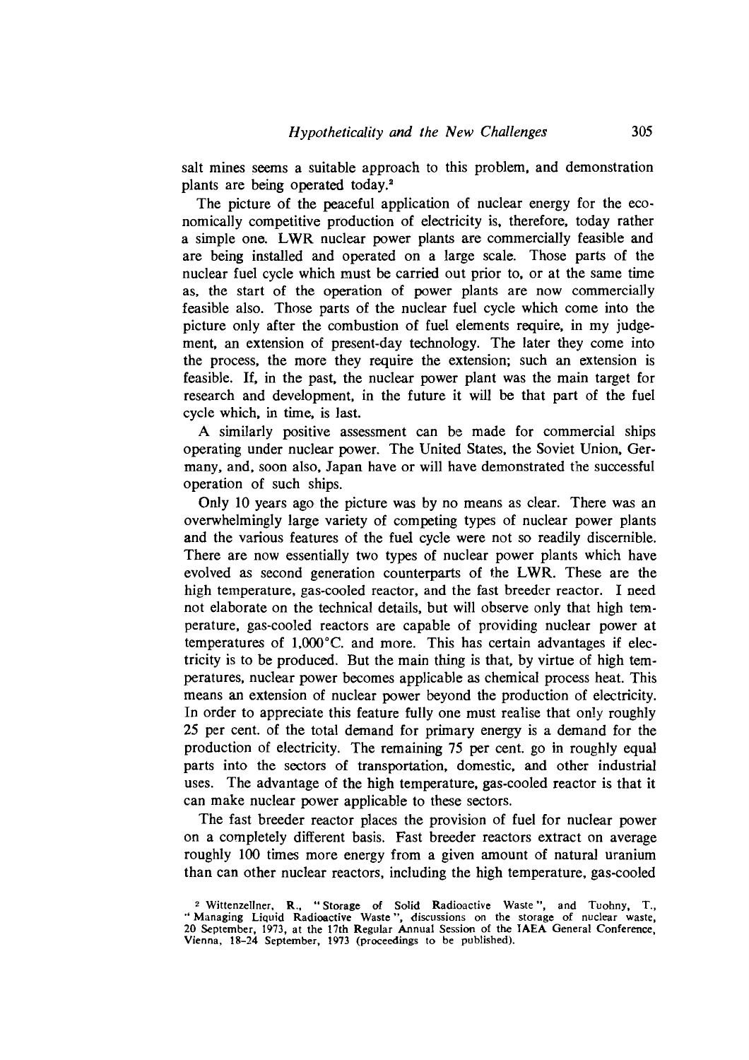salt mines seems a suitable approach to this problem, and demonstration plants are being operated today.<sup>2</sup>

The picture of the peaceful application of nuclear energy for the economically competitive production of electricity is, therefore, today rather a simple one. **LWR** nuclear power plants are commercially feasible and are being installed and operated on a large scale. Those parts of the nuclear fuel cycle which must be carried out prior to. or at the same time as, the start of the operation of power plants are now commercially feasible also. Those parts of the nuclear fuel cycle which come into the picture only after the combustion of fuel elements require, in my judgement, an extension of present-day technology. The later they come into the process, the more they require the extension; such an extension is feasible. If, in the past, the nuclear power plant was the main target for research and development, in the future it will be that part of the fuel cycle which, in time, is last.

A similarly positive assessment can be made for commercial ships operating under nuclear power. The United States. the Soviet Union, Germany, and, soon also. Japan have or will have demonstrated the successful operation of such ships.

Only 10 years ago the picture was by no means as clear. There was an overwhelmingly large variety of competing types of nuclear power plants and the various features of the fuel cycle were not so readily discernible. There are now essentially two types of nuclear power plants which have evolved as second generation counterparts of the **LWR.** These are the high temperature, gas-cooled reactor, and the fast breeder reactor. I need not elaborate on the technical details, but will observe only that high ternperature, gas-cooled reactors are capable of providing nuclear power at temperatures of 1,000°C. and more. This has certain advantages if electricity is to be produced. But the main thing is that, by virtue of high temperatures, nuclear power becomes applicable as chemical process heat. This means an extension of nuclear power beyond the production of electricity. In order to appreciate this feature fully one must realise that only roughly 25 per cent. of the total demand for primary energy is a demand for the production of electricity. The remaining 75 per cent. go in roughly equal parts into the sectors of transportation, domestic, and other industrial uses. The advantage of the high temperature, gas-cooled reactor is that it can make nuclear power applicable to these sectors.

The fast breeder reactor places the provision of fuel for nuclear power on a completely different basis. Fast breeder reactors extract on average roughly 100 times more energy from a given amount of natural uranium than can other nuclear reactors, including the high temperature, gas-cooled

<sup>&</sup>lt;sup>2</sup> Wittenzellner, **R**., "Storage of Solid Radioactive Waste", and Tuohny, T., "Managing Liquid Radioactive Waste", discussions on the storage of nuclear waste, 20 September, 1973, at the 17th Regular Annual Session of the **Vienna, 18-24 September, 1973 (proceedings to be published).**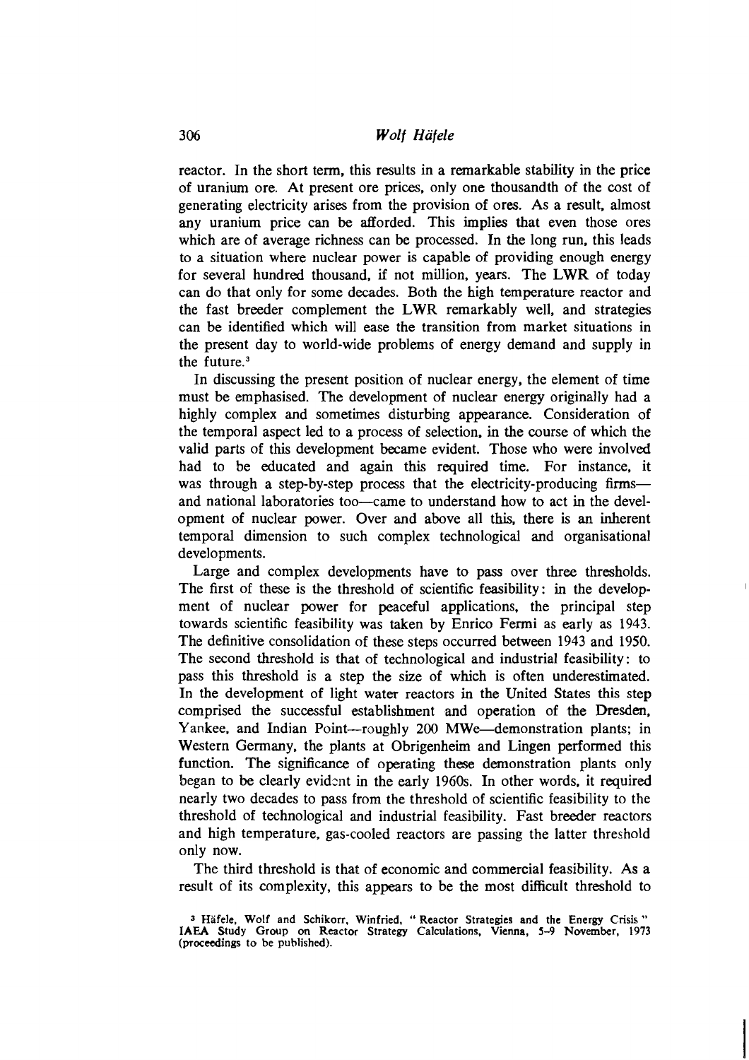reactor. In the short term, this results in a remarkable stability in the price of uranium ore. At present ore prices, only one thousandth of the cost of generating electricity arises from the provision of ores. As a result, almost any uranium price can be afforded. This implies that even those ores which are of average richness can be processed. In the long run, this leads to a situation where nuclear power is capable of providing enough energy for several hundred thousand, if not million, years. The LWR of today can do that only for some decades. Both the high temperature reactor and the fast breeder complement the LWR remarkably well, and strategies can be identified which will ease the transition from market situations in the present day to world-wide problems of energy demand and supply in the future.<sup>3</sup>

In discussing the present position of nuclear energy, the element of time must be emphasised. The development of nuclear energy originally had a highly complex and sometimes disturbing appearance. Consideration of the temporal aspect led to a process of selection, in the course of which the valid parts of this development became evident. Those who were involved had to be educated and again this required time. For instance. it was through a step-by-step process that the electricity-producing firmsand national laboratories too-came to understand how to act in the development of nuclear power. Over and above all this, there is an inherent temporal dimension to such complex technological and organisational developments.

Large and complex developments have to pass over three thresholds. The first of these is the threshold of scientific feasibility: in the development of nuclear power for peaceful applications, the principal step towards scientific feasibility was taken by Enrico Fermi as early as 1943. The definitive consolidation of these steps occurred between 1943 and 1950. The second threshold is that of technological and industrial feasibility: to pass this threshold is a step the size of which is often underestimated. In the development of light water reactors in the United States this step comprised the successful establishment and operation of the **Dresden.**  Yankee, and Indian Point-roughly 200 MWe-demonstration plants; in Western Germany, the plants at Obrigenheim and Lingen performed this function. The significance of operating these demonstration plants only began to be clearly evident in the early 1960s. In other words. it required nearly two decades to pass from the threshold of scientific feasibility to the threshold of technological and industrial feasibility. Fast breeder reactors and high temperature, gas-cooled reactors are passing the latter threshold only now.

The third threshold is that of economic and commercial feasibility. As a result of its complexity, this appears to be the most difficult threshold to

**<sup>3</sup> Hlfele, Wolf and Schikorr, Winfried,** " **Reactor Strategies and the Energy crisis** " **IAEA Study Group on Reactor Strategy Calculations, Vienna, 5-9 November, 1973 (proceedings to be published).**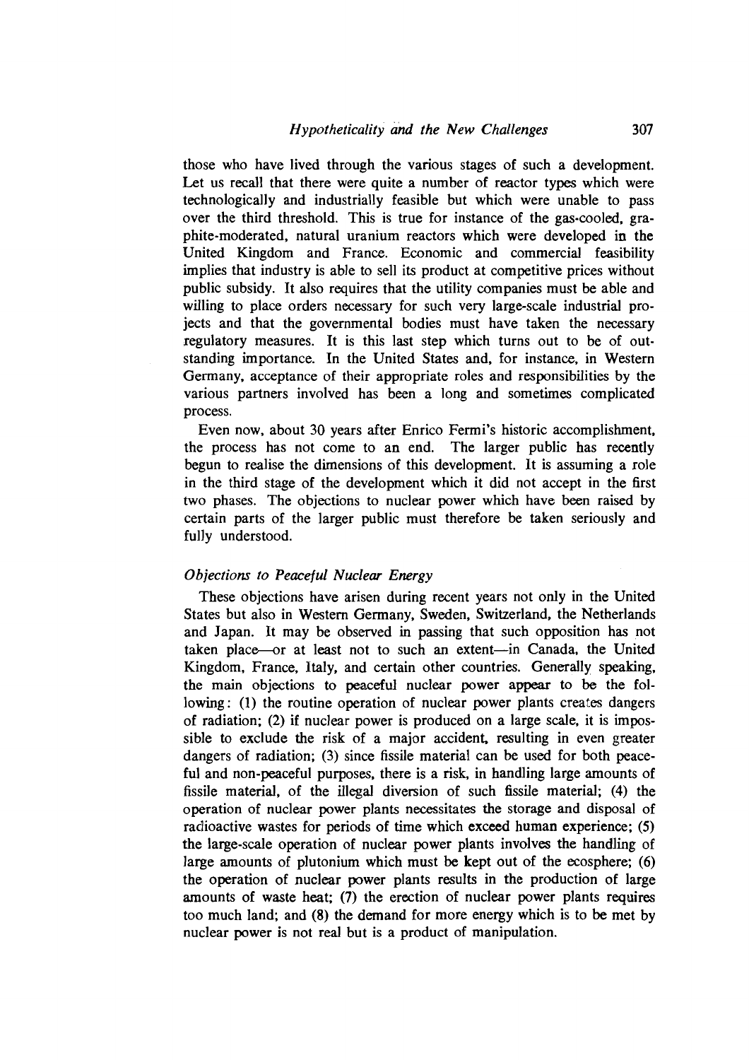those who have lived through the various stages of such a development. Let us recall that there were quite a number of reactor types which were technologically and industrially feasible but which were unable to pass over the third threshold. This is true for instance of the gas-cooled, graphite-moderated, natural uranium reactors which were developed in the United Kingdom and France. Economic and commercial feasibility implies that industry is able to sell its product at competitive prices without public subsidy. It also requires that the utility companies must be able and willing to place orders necessary for such very large-scale industrial projects and that the governmental bodies must have taken the necessary regulatory measures. It is this last step which turns out to be of outstanding importance. In the United States and, for instance, in Western Germany, acceptance of their appropriate roles and responsibilities by the various partners involved has been a long and sometimes complicated process.

Even now, about **30** years after Enrico Fermi's historic accomplishment. the process has not come to an end. The larger public has recently begun to realise the dimensions of this development. It is assuming a role in the third stage of the development which it did not accept in the first two phases. The objections to nuclear power which have been raised by certain parts of the larger public must therefore be taken seriously and fully understood.

#### **0** *b jections to Peaceful Nuclear Energy*

These objections have arisen during recent years not only in the United States but also in Western Germany, Sweden, Switzerland, the Netherlands and Japan. It may be observed in passing that such opposition has not taken place-or at least not to such an extent-in Canada, the United Kingdom, France, Italy, and certain other countries. Generally speaking. the main objections to peaceful nuclear power appear to be the following: (1) the routine operation of nuclear power plants creates dangers of radiation; (2) if nuclear power is produced on a large scale, it is impossible to exclude the risk of a major accident, resulting in even greater dangers of radiation; **(3)** since fissile material can be used for both peaceful and non-peaceful purposes, there is a risk, in handling large amounts of fissile material, of the illegal diversion of such fissile material; (4) the operation of nuclear power plants necessitates the storage and disposal of radioactive wastes for periods of time which exceed human experience; (5) the large-scale operation of nuclear power plants involves the handling of large amounts of plutonium which must be kept out of the ecosphere; (6) the operation of nuclear power plants results in the production of large amounts of waste heat; **(7)** the erection of nuclear power plants requires too much land; and (8) the demand for more energy which is to be met by nuclear power is not real but is a product of manipulation.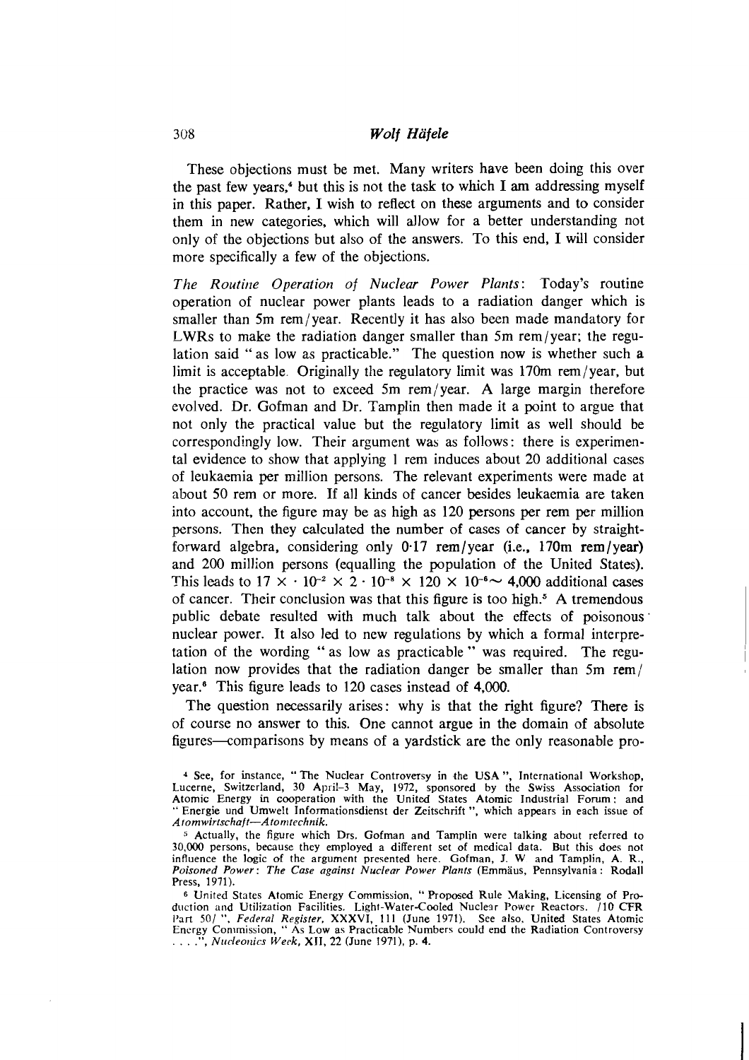These objections must be met. Many writers have been doing this over the past few years,<sup> $\pm$ </sup> but this is not the task to which I am addressing myself in this paper. Rather, I wish to reflect on these arguments and to consider them in new categories, which will allow for a better understanding not only of the objections but also of the answers. To this end, I will consider more specifically a few of the objections.

*The Routine Operation of Nuclear Power Plants: Today's routine* operation of nuclear power plants leads to a radiation danger which is smaller than 5m rem/year. Recently it has also been made mandatory for LWRs to make the radiation danger smaller than 5m rem/year; the regulation said " as low as practicable." The question now is whether such a limit is acceptable. Originally the regulatory limit was  $170m$  rem/year, but the practice was not to exceed 5m rem/year. A large margin therefore evolved. Dr. Gofman and Dr. Tarnplin then made it a point to argue that not only the practical value but the regulatory limit as well should be correspondingly low. Their argument was as follows: there is experimental evidence to show that applying 1 rem induces about 20 additional cases of leukaemia per million persons. The relevant experiments were made at about 50 rem or more. If all kinds of cancer besides leukaemia are taken into account, the figure may be as high as 120 persons per rem per million persons. Then they calculated the number of cases of cancer by straightforward algebra, considering only 0.17 **rem** /year (i.e.. 170m rem /year) and 200 million persons (equalling the population of the United States). This leads to  $17 \times 10^{-2} \times 2 \cdot 10^{-8} \times 120 \times 10^{-6} \sim 4,000$  additional cases of cancer. Their conclusion was that this figure is too high? A tremendous public debate resulted with much talk about the effects of poisonous nuclear power. It also led to new regulations by which a formal interpretation of the wording " as low as practicable " was required. The regulation now provides that the radiation danger be smaller than 5m rem/ year.<sup>6</sup> This figure leads to 120 cases instead of 4,000.

The question necessarily arises: why is that the right figure? There is of course no answer to this. One cannot argue in the domain of absolute figures—comparisons by means of a yardstick are the only reasonable pro-

<sup>&</sup>lt;sup>4</sup> See, for instance, "The Nuclear Controversy in the USA", International Workshop, Lucerne, Switzerland, 30 April-3 May, 1972, sponsored by the Swiss Association for Atomic Energy in cooperation with the United States At *Aromwirtschaft-Atonltcchnik.* 

<sup>&</sup>lt;sup>5</sup> Actually, the figure which Drs. Gofman and Tamplin were talking about referred to 30.000 persons, because they employed a different set of medical data. But this does not influence the logic of the argument presented here. Gofman, J. W and Tamplin, A. R., Poisoned Power: The Case against Nuclear Power Plants (Emmäus, Pennsylvania: Rodall Press, 1971).

<sup>&</sup>lt;sup>6</sup> United States Atomic Energy Commission, " Proposed Rule Making, Licensing of Production and Utilization Facilities. Light-Water-Cooled Nuclear Power Reactors. /10 CFR<br>Part 50/ ", *Federal Register*, XXXVI, 111 (June 1971). See also, United States Atomic<br>Energy Commission, " As Low as Practicable Numbe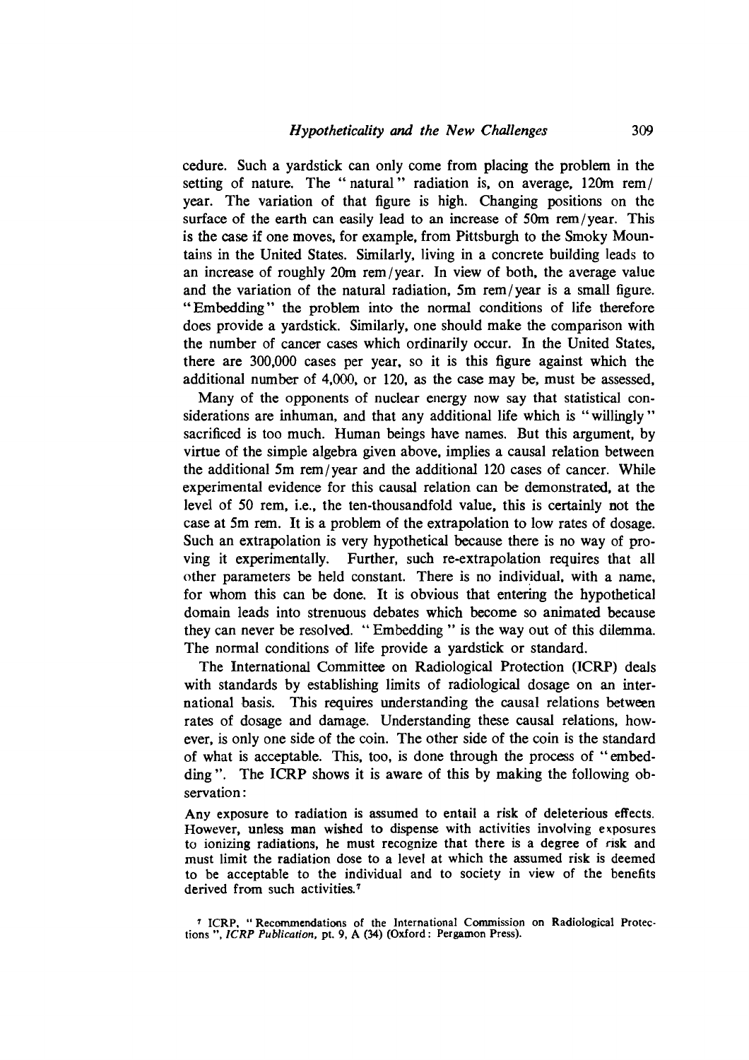cedure. Such a yardstick can only come from placing the problem in the setting of nature. The "natural" radiation is, on average, 120m rem/ year. The variation of that figure is high. Changing positions on the surface of the earth can easily lead to an increase of 50 $m$  rem/year. This is the case if one moves, for example, from Pittsburgh to the Smoky Mountains in the United States. Similarly, living in a concrete building leads to an increase of roughly  $20m$  rem/year. In view of both, the average value and the variation of the natural radiation, 5m rem/year is a small figure. "Embedding" the problem into the normal conditions of life therefore does provide a yardstick. Similarly, one should make the comparison with the number of cancer cases which ordinarily occur. In the United States. there are 300.000 cases per year, so it is this figure against which the additional number of 4.000, or 120. as the case may be, must be assessed.

Many of the opponents of nuclear energy now say that statistical considerations are inhuman, and that any additional life which is "willingly" sacrificed is too much. Human beings have names. But this argument, by virtue of the simple algebra given above. implies a causal relation between the additional 5m rem/vear and the additional 120 cases of cancer. While experimental evidence for this causal relation can be demonstrated, at the level of 50 rem, i.e.. the ten-thousandfold value, this is certainly not the case at 5m rem. It is a problem of the extrapolation to low rates of dosage. Such an extrapolation is very hypothetical because there is no way of proving it experimentally. Further, such re-extrapolation requires that all other parameters be held constant. There is no individual, with a name, for whom this can be done. It is obvious that entering the hypothetical domain leads into strenuous debates which become so animated because they can never be resolved. "Embedding " is the way out of this dilemma. The normal conditions of life provide a yardstick or standard.

The International Committee on Radiological Protection (ICRP) deals with standards by establishing limits of radiological dosage on an international basis. This requires understanding the causal relations between rates of dosage and damage. Understanding these causal relations, however, is only one side of the coin. The other side of the coin is the standard of what is acceptable. This, too, is done through the process of "embedding ". The ICRP shows it is aware of this by making the following observation :

Any exposure to radiation is assumed to entail a risk of deleterious effects. However, unless man wished to dispense with activities involving exposures to ionizing radiations, he must recognize that there is a degree of risk and must limit the radiation dose to a level at which the assumed risk is deemed to be acceptable to the individual and to society in view of the benefits derived from such activities.<sup>7</sup>

**<sup>7</sup> ICRP. "Recommendations of the International Commission on Radiological Protections** ", **ICRP** *Publication,* **pt. 9, A (34) (Oxford** : **Pergamon Press).**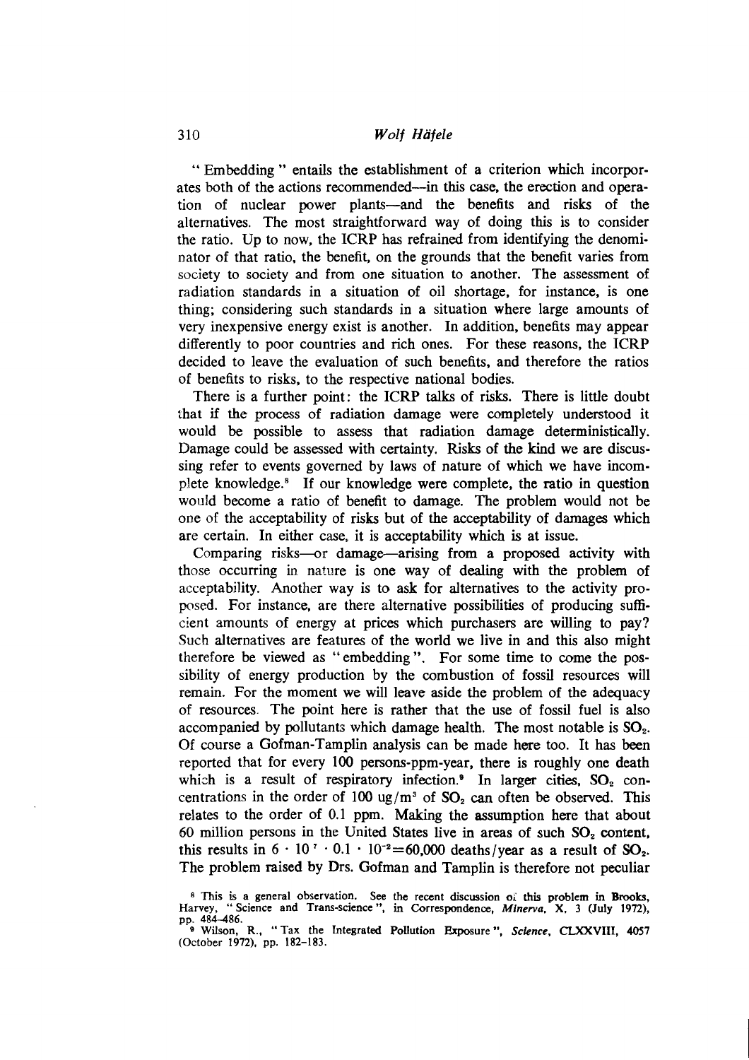" Embedding " entails the establishment of a criterion which incorporates both of the actions recommended—in this case, the erection and operation of nuclear power plants-and the benefits and risks of the alternatives. The most straightfonvard way of doing this is to consider the ratio. Up to now, the ICRP has refrained from identifying the denominator of that ratio. the benefit, on the grounds that the benefit varies from society to society and from one situation to another. The assessment of radiation standards in a situation of oil shortage, for instance, is one thing; considering such standards in a situation where large amounts of very inexpensive energy exist is another. In addition, benefits may appear differently to poor countries and rich ones. For these reasons, the ICRP decided to leave the evaluation of such benefits, and therefore the ratios of benefits to risks, to the respective national bodies.

There is a further point: the ICRP **talks** of risks. There is little doubt that if the process of radiation damage were completely understood it would be possible to assess that radiation damage deterministically. Damage could be assessed with certainty. Risks of the kind we are discussing refer to events governed by laws of nature of which we have incomplete knowledge.<sup>8</sup> If our knowledge were complete, the ratio in question would become a ratio of benefit to damage. The problem would not be one of the acceptability of risks but of the acceptability of damages which are certain. In either case, it is acceptability which is at issue.

Comparing risks-or damage-arising from a proposed activity with those occurring in nature is one way of dealing with the problem of acceptability. Another way is to ask for alternatives to the activity proposed. For instance, are there alternative possibilities of producing sufficient amounts of energy at prices which purchasers are willing to pay? Such alternatives are features of the world we live in and this also might therefore be viewed as "embedding". For some time to come the possibility of energy production by the combustion of fossil resources will remain. For the moment we will leave aside the problem of the adequacy of resources. The point here is rather that the use of fossil fuel is also accompanied by pollutants which damage health. The most notable is  $SO_2$ . Of course a Gofman-Tarnplin analysis can be made here too. It has been reported that for every 100 persons-ppm-year, there is roughly one death which is a result of respiratory infection.<sup>•</sup> In larger cities,  $SO_2$  concentrations in the order of 100 ug/m3 of SO, **can** often be observed. This relates to the order of 0.1 ppm. Making the assumption here that about 60 million persons in the United States live in areas of such  $SO<sub>2</sub>$  content. this results in  $6 \cdot 10^{7} \cdot 0.1 \cdot 10^{-2} = 60,000$  deaths/year as a result of SO<sub>2</sub>. The problem raised by Drs. Gofman and Tamplin is therefore not peculiar

<sup>&</sup>lt;sup>8</sup> This is a general observation. See the recent discussion of this problem in Brooks, Harvey, "Science and Trans-science", in Correspondence, Minerva, X, 3 (July 1972),

**pp. 484-486. <sup>Q</sup>Wilson, R., "Tax the Integrated Pollution Exposure** ", *Scknce,* **CLXXVIII, 4057 (October 1972). pp. 182-183.**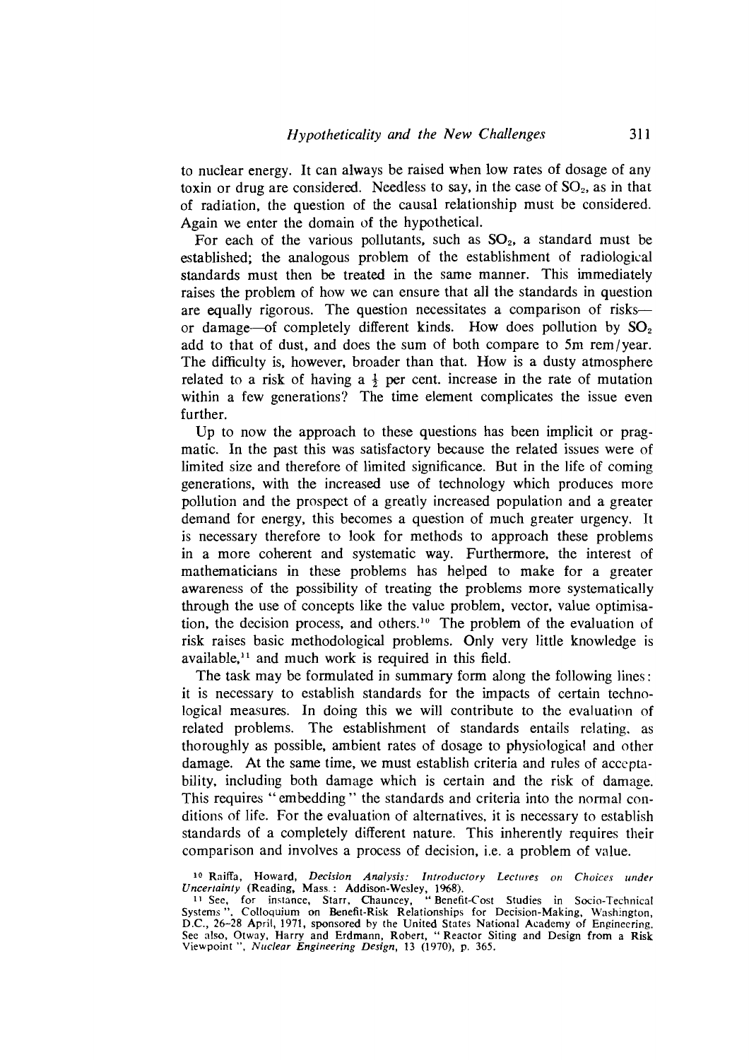to nuclear energy. It can always be raised when low rates of dosage of any toxin or drug are considered. Needless to say, in the case of  $SO_2$ , as in that of radiation, the question of the causal relationship must be considered. Again we enter the domain of the hypothetical.

For each of the various pollutants, such as  $SO_2$ , a standard must be established; the analogous problem of the establishment of radiological standards must then be treated in the same manner. This immediately raises the problem of how we can ensure that all the standards in question are equally rigorous. The question necessitates a comparison of risksor damage--of completely different kinds. How does pollution by  $SO<sub>2</sub>$ add to that of dust, and does the sum of both compare to 5m rem/year. The difficulty is, however, broader than that. How is a dusty atmosphere related to a risk of having a  $\frac{1}{2}$  per cent. increase in the rate of mutation within a few generations? The time element complicates the issue even further.

Up to now the approach to these questions has been implicit or pragmatic. In the past this was satisfactory because the related issues were of limited size and therefore of limited significance. But in the life of coming generations, with the increased use of technology which produces more pollution and the prospect of a greatly increased population and a greater demand for energy, this becomes a question of much greater urgency. It is necessary therefore to look for methods to approach these problems in a more coherent and systematic way. Furthermore, the interest of mathematicians in these problems has helped to make for a greater awareness of the possibility of treating the problems more systematically through the use of concepts like the value problem, vector, value optimisation, the decision process, and others.<sup>10</sup> The problem of the evaluation of risk raises basic methodological problems. Only very little knowledge is available.<sup>11</sup> and much work is required in this field.

The task may be formulated in summary form along the following lines: it is necessary to establish standards for the impacts of certain technological measures. In doing this we will contribute to the evaluation of related problems. The establishment of standards entails relating. as thoroughly as possible, ambient rates of dosage to physiological and other damage. At the same time, we must establish criteria and rules of acccptability, including both damage which is certain and the risk of damage. This requires "embedding " the standards and criteria into the normal conditions of life. For the evaluation of alternatives, it is necessary to establish standards of a completely different nature. This inherently requires their comparison and involves a process of decision, i.e. a problem of value.

<sup>10</sup> Raiffa, Howard, *Decision Analysis: Introductory Lectures on Choices under* 

*Uncertainty* (Reading, Mass.: Addison-Wesley, 1968).<br>
11 See, for instance, Starr, Chauncey, "Benefit-Cost Studies in Socio-Technical<br>
Systems". Colloquium on Benefit-Risk Relationships for Decision-Making, Washington,<br>
D **See also, Otwny, Harry and Erdmann. Robert,** " **Reactor Siting and Design from a Risk Viewpoint** ". *Nuclear Engineering Design,* **13 (1970), p. 365.**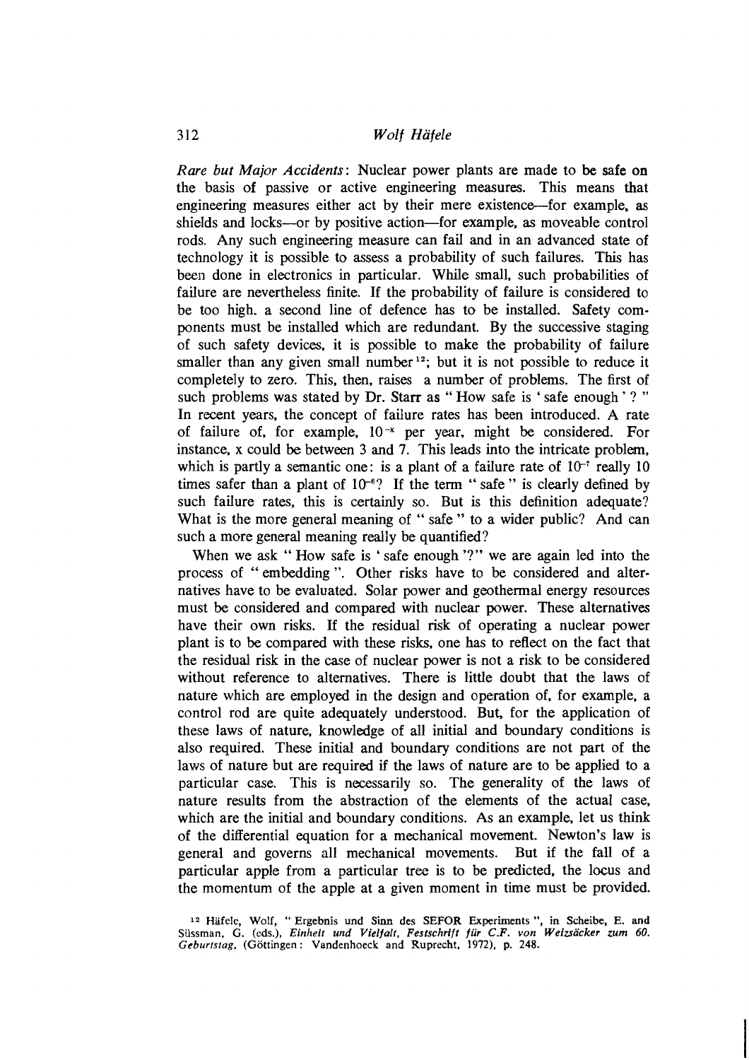*Rare but Major Accidents:* Nuclear power plants are made to be safe on the basis of passive or active engineering measures. This means that engineering measures either act by their mere existence-for example, as shields and locks-or by positive action-for example, as moveable control rods. Any such engineering measure can fail and in an advanced state of technology it is possible to assess a probability of such failures. This has been done in electronics in particular. While small, such probabilities of failure are nevertheless finite. If the probability of failure is considered to be too high. a second line of defence has to be installed. Safety components must be installed which are redundant. By the successive staging of such safety devices, it is possible to make the probability of failure smaller than any given small number<sup>12</sup>; but it is not possible to reduce it completely to zero. This, then, raises a number of problems. The first of such problems was stated by Dr. Starr as "How safe is 'safe enough '? " In recent years, the concept of failure rates has been introduced. A rate of failure of, for example,  $10^{-x}$  per year, might be considered. For instance, x could be between 3 and 7. This leads into the intricate problem. which is partly a semantic one: is a plant of a failure rate of  $10^{-7}$  really 10 times safer than a plant of  $10^{-6}$ ? If the term " safe " is clearly defined by such failure rates, this is certainly so. But is this definition adequate? What is the more general meaning of "safe" to a wider public? And can such a more general meaning really be quantified?

When we ask " How safe is ' safe enough '?" we are again led into the process of " embedding ". Other risks have to be considered and alternatives have to be evaluated. Solar power and geothermal energy resources must be considered and compared with nuclear power. These alternatives have their own risks. If the residual risk of operating a nuclear power plant is to be compared with these risks, one has to reflect on the fact that the residual risk in the case of nuclear power is not a risk to be considered without reference to alternatives. There is little doubt that the laws of nature which are employed in the design and operation of, for example, a control rod are quite adequately understood. But, for the application of these laws of nature, knowledge of all initial and boundary conditions is also required. These initial and boundary conditions are not part of the laws of nature but are required if the laws of nature are to be applied to a particular case. This is necessarily so. The generality of the laws of nature results from the abstraction of the elements of the actual case. which are the initial and boundary conditions. As an example, let us think of the differential equation for a mechanical movement. Newton's law is general and governs all mechanical movements. But if the fall of a particular apple from a particular tree is to be predicted, the locus and the momentum of the apple at a given moment in time must be provided.

<sup>&</sup>lt;sup>12</sup> Häfele, Wolf, "Ergebnis und Sinn des SEFOR Experiments", in Scheibe, E. and Süssman, G. (eds.), *Einheit und Vielfalt, Festschrift für C.F. von Weizsäcker zum 60.*<br>Geburtstag, (Göttingen: Vandenhoeck and Ruprecht, 197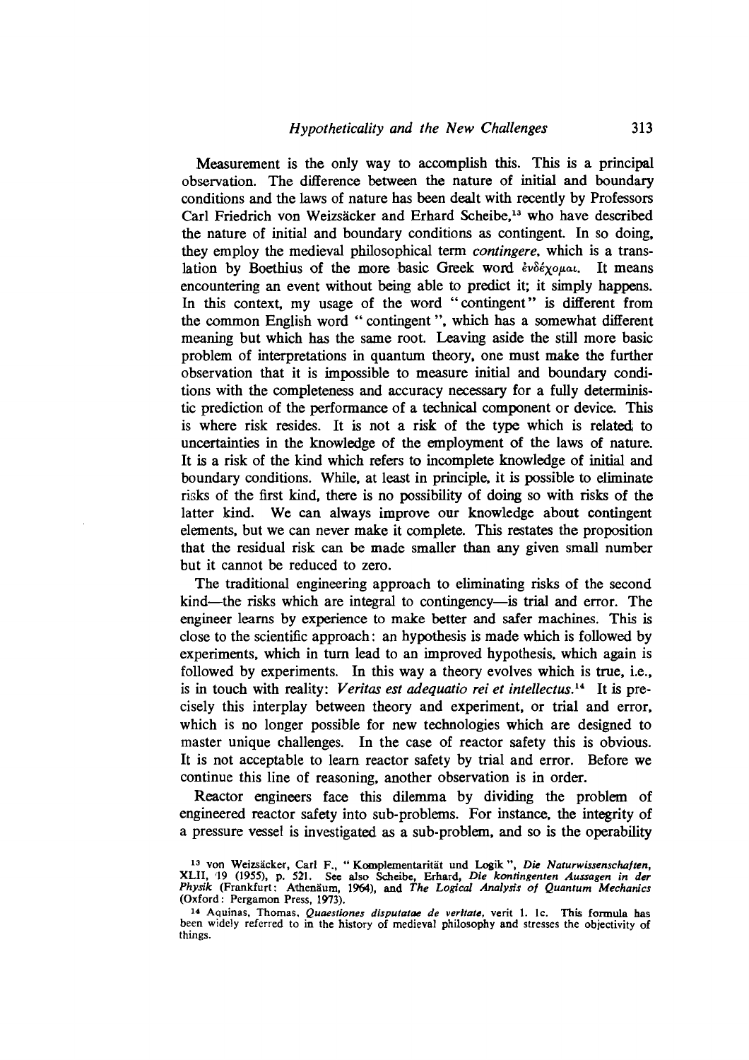Measurement is the only way to accomplish this. This is a principal observation. The ditference between the nature of initial and boundary conditions and the laws of nature has been dealt with recently by Professors Carl Friedrich von Weizsäcker and Erhard Scheibe.<sup>13</sup> who have described the nature of initial and boundary conditions as contingent. In so doing. they employ the medieval philosophical term *contingere,* which is a translation by Boethius of the more basic Greek word  $\epsilon v \delta \epsilon \gamma \omega \mu a$ . It means encountering an event without being able to predict it; it simply happens. In this context, my usage of the word "contingent" is different from the common English word " contingent ". which has a somewhat different meaning but which has the same root. Leaving aside the still more basic problem of interpretations in quantum theory, one must make the further observation that it is impossible to measure initial and boundary conditions with the completeness and accuracy necessary for a fully deterministic prediction of the performance of a technical component or device. This is where risk resides. It is not a risk of the type which is related to uncertainties in the knowledge of the employment of the laws of nature. It is a risk of the kind which refers to incomplete knowledge of initial and boundary conditions. While, at least in principle, it is possible to eliminate risks of the first kind, there is no possibility of doing so with risks of the latter kind. We can always improve our knowledge about contingent elements, but we can never make it complete. This restates the proposition that the residual risk can be made smaller than any given small number but it cannot be reduced to zero.

The traditional engineering approach to eliminating risks of the second kind-the risks which are integral to contingency-is trial and error. The engineer learns by experience to make better and safer machines. This is close to the scientific approach: an hypothesis is made which is followed by experiments, which in turn lead to an improved hypothesis. which again is followed by experiments. In this way a theory evolves which is true, i.e.. is in touch with reality: *Veritas est adequatio rei et intellectus."* It is precisely this interplay between theory and experiment, or trial and error. which is no longer possible for new technologies which are designed to master unique challenges. In the case of reactor safety this is obvious. It is not acceptable to learn reactor safety by trial and error. Before we continue this line of reasoning. another observation is in order.

Reactor engineers face this dilemma by dividing the problem of engineered reactor safety into sub-problems. For instance. the integrity of a pressure vessel is investigated as a sub-problem, and so is the operability

<sup>&</sup>lt;sup>13</sup> von Weizsäcker, Carl F., "Komplementarität und Logik", Die Naturwissenschaften,<br>XLII, 19 (1955), p. 521. See also Scheibe, Erhard, Die kontingenten Aussagen in der<br>Physik (Frankfurt: Athenäum, 1964), and The Logical A **(Oxford** : **Pergamon Press, 1973).** 

<sup>&</sup>lt;sup>14</sup> Aquinas, Thomas, *Quaestiones disputatae de veritate*, verit 1. 1c. This formula has been widely referred to in the history of medieval philosophy and stresses the objectivity of **things.**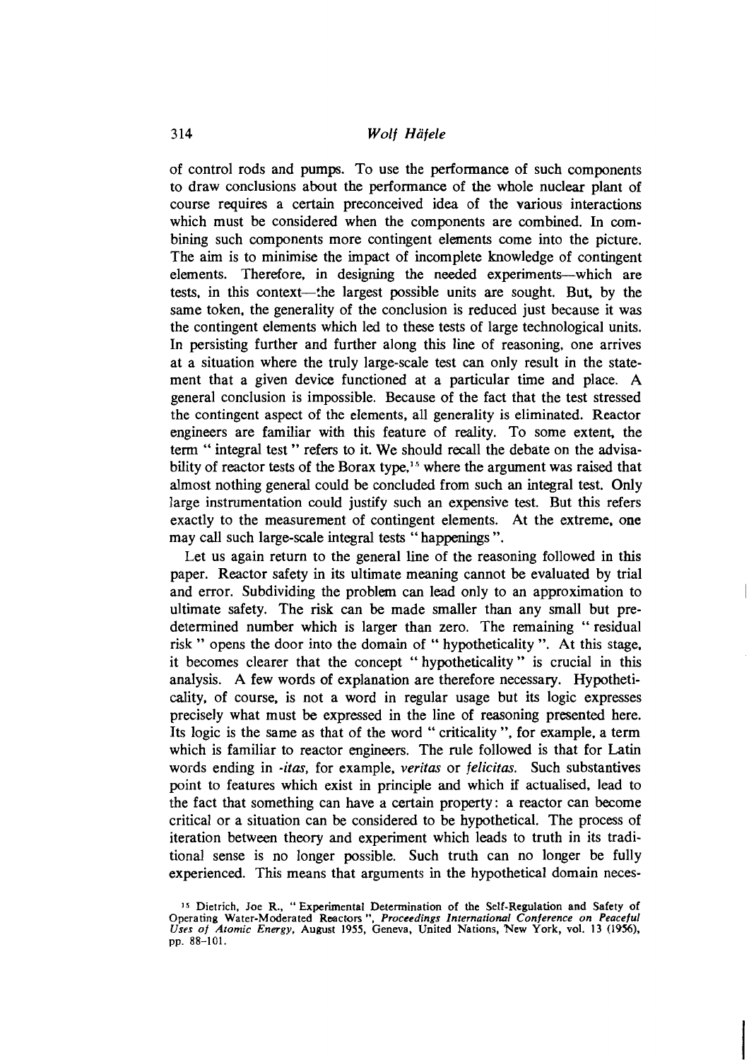of control rods and pumps. To use the performance of such components to draw conclusions about the performance of the whole nuclear plant of course requires a certain preconceived idea of the various interactions which must be considered when the components are combined. In combining such components more contingent elements come into the picture. The aim is to minimise the impact of incomplete knowledge of contingent elements. Therefore, in designing the needed experiments—which are tests, in this context—the largest possible units are sought. But, by the same token, the generality of the conclusion is reduced just because it was the contingent elements which led to these tests of large technological units. In persisting further and further along this line of reasoning, one arrives at a situation where the truly large-scale test **can** only result in the statement that a given device functioned at a particular time and place. A general conclusion is impossible. Because of the fact that the test stressed the contingent aspect of the elements, all generality is eliminated. Reactor engineers are familiar with this feature of reality. To some extent, the term " integral test " refers to it. We should recall the debate on the advisability of reactor tests of the Borax type,<sup>15</sup> where the argument was raised that almost nothing general could be concluded from such an integral test. Only large instrumentation could justify such an expensive test. But this refers exactly to the measurement of contingent elements. At the extreme, one may call such large-scale integral tests " happenings ".

Let us again return to the general line of the reasoning followed in this paper. Reactor safety in its ultimate meaning cannot be evaluated by trial and error. Subdividing the problem can lead only to an approximation to ultimate safety. The risk can be made smaller than any small but predetermined number which is larger than zero. The remaining " residual risk " opens the door into the domain of " hypotheticality ". At this stage. it becomes clearer that the concept " hypotheticality " is crucial in this analysis. A few words of explanation are therefore necessary. Hypotheticality, of course, is not a word in regular usage but its logic expresses precisely what must be expressed in the line of reasoning presented here. Its logic is the same as that of the word " criticality ", for example, a term which is familiar to reactor engineers. The rule followed is that for Latin words ending in *-itas,* for example, *veritas* or *felicitas.* Such substantives point to features which exist in principle and which if actualised, lead to the fact that something can have a certain property: a reactor can become critical or a situation can be considered to be hypothetical. The process of iteration between theory and experiment which leads to truth in its traditional sense is no longer possible. Such truth can no longer be fully experienced. This means that arguments in the hypothetical domain neces-

<sup>&</sup>lt;sup>15</sup> Dietrich, Joe R., "Experimental Determination of the Self-Regulation and Safety of Operating Water-Moderated Reactors", *Proceedings International Conference on Peaceful* Uses of Atomic Energy, August 1955, Geneva, Un **pp. 88-101.**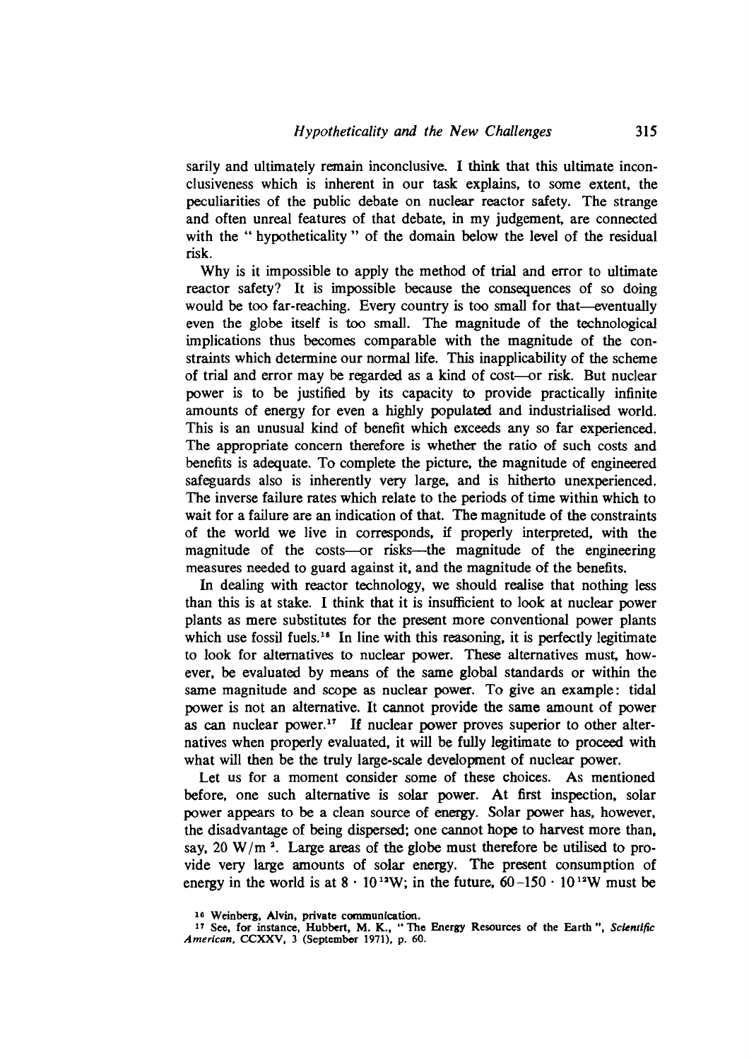sarily and ultimately remain inconclusive. I think that this ultimate inconclusiveness which is inherent in our task explains, to some extent, the peculiarities of the public debate on nuclear reactor safety. The strange and often unreal features of that debate, in my judgement, are connected with the " hypotheticality " of the domain below the level of the residual risk.

Why is it impossible to apply the method of trial and error to ultimate reactor safety? It is impossible because the consequences of so doing would be too far-reaching. Every country is too small for that—eventually even the globe itself is too small. The magnitude of the technological implications thus becomes comparable with the magnitude of the constraints which determine our normal life. This inapplicability of the scheme of trial and error may be regarded **as** a kind of cost-or risk. But nuclear power is to be justified by its capacity to provide practically infinite amounts of energy for even a highly populated and industrialised world. This is an unusual kind of benefit which exceeds any so far experienced. The appropriate concern therefore is whether the ratio of such costs and benefits is adequate. To complete the picture, the magnitude of engineered safeguards also is inherently very large, and is hitherto unexperienced. The inverse failure rates which relate to the periods of time within which to wait for a failure are **an** indication of that. The magnitude of the constraints of the world we live in corresponds, if properly interpreted, with the magnitude of the costs—or risks—the magnitude of the engineering measures needed to guard against it, and the magnitude of the benefits.

In dealing with reactor technology, we should realise that nothing less than this is at stake. I think that it is insufficient to look at nuclear power plants **as** mere substitutes for the present more conventional power plants which use fossil fuels.<sup>16</sup> In line with this reasoning, it is perfectly legitimate to look for alternatives to nuclear power. These alternatives must, however, be evaluated by means of the same global standards or within the same magnitude and scope as nuclear power. To give **an** example: tidal power is not an alternative. It cannot provide the same amount of power as can nuclear power.'? If nuclear power proves superior to other alternatives when properly evaluated, it will be fully legitimate to proceed with what will then be the truly large-scale development of nuclear power.

Let us for a moment consider some of these choices. As mentioned before, one such alternative is solar power. At first inspection, solar power appears to be a clean source of **energy.** Solar power has, however. the disadvantage of being dispersed; one cannot hope to harvest more than. say,  $20 \text{ W/m}^2$ . Large areas of the globe must therefore be utilised to provide very large amounts of solar energy. The present consumption of energy in the world is at  $8 \cdot 10^{12}$ W; in the future,  $60-150 \cdot 10^{12}$ W must be

<sup>16</sup> **Weinberg, Alvin, private canmunfcation.** 

**<sup>17</sup>See, for instance, Hubbert, M. K.,** " **Tha Energy Resources of the Earth** ", *Sclcntffic American,* **CCXXV, 3 (September 1971), p. 60.**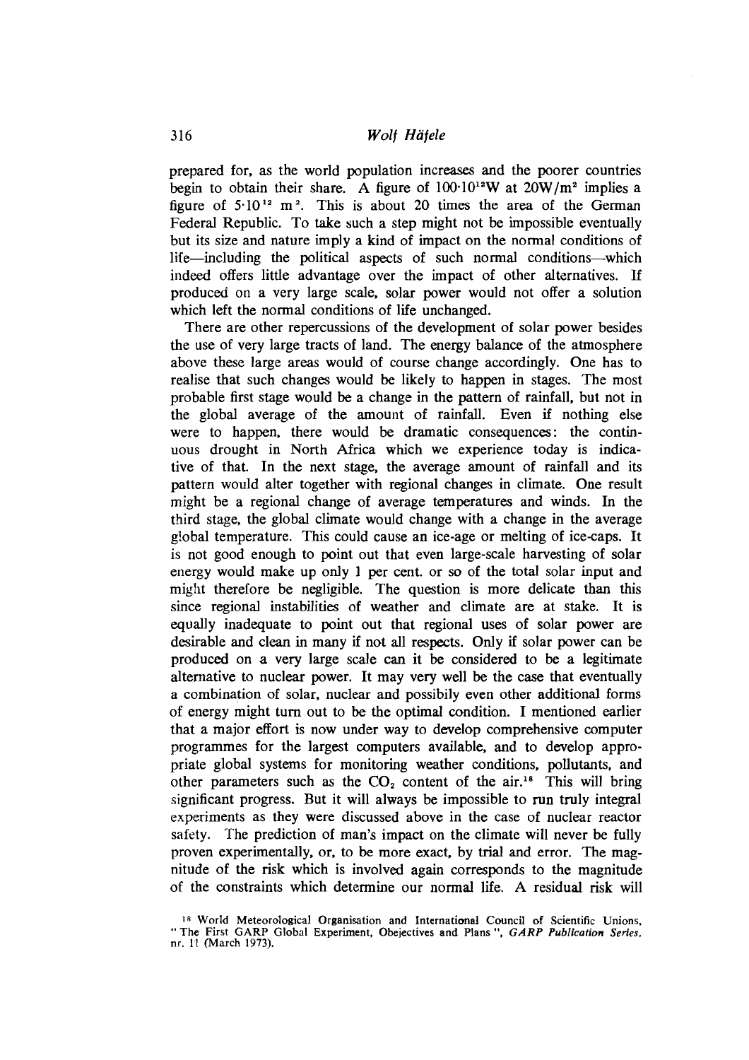prepared for, as the world population increases and the poorer countries begin to obtain their share. A figure of  $100 \cdot 10^{12}$ W at  $20W/m^2$  implies a figure of  $5.10^{12}$  m<sup>2</sup>. This is about 20 times the area of the German Federal Republic. To take such a step might not be impossible eventually but its size and nature imply a kind of impact on the normal conditions of life-including the political aspects of such normal conditions-which indeed offers little advantage over the impact of other alternatives. If produced on a very large scale, solar power would not offer a solution which left the normal conditions of life unchanged.

There are other repercussions of the development of solar power besides the use of very large tracts of land. The energy balance of the atmosphere above these large areas would of course change accordingly. One has to realise that such changes would be likely to happen in stages. The most probable first stage would be a change in the pattern of rainfall, but not in the global average of the amount of rainfall. Even if nothing else were to happen, there would be dramatic consequences: the continuous drought in North Africa which we experience today is indicative of that. In the next stage, the average amount of rainfall and its pattern would alter together with regional changes in climate. One result might be a regional change of average temperatures and winds. In the third stage, the global climate would change with a change in the average global temperature. This could cause an ice-age or melting of ice-caps. It is not good enough to point out that even large-scale harvesting of solar energy would make up only 1 per cent. or so of the total solar input and might therefore be negligible. The question is more delicate than this since regional instabilities of weather and climate are at stake. It is equally inadequate to point out that regional uses of solar power are desirable and clean in many if not all respects. Only if solar power can be produced on **a** very large scale **can** it be considered to be a legitimate alternative to nuclear power. It may very well be the case that eventually a combination of solar, nuclear and possibily even other additional forms of energy might turn out to be the optimal condition. I mentioned earlier that a major effort is now under way to develop comprehensive computer programmes for the largest computers available, and to develop appropriate global systems for monitoring weather conditions, pollutants, and other parameters such as the  $CO<sub>2</sub>$  content of the air.<sup>18</sup> This will bring significant progress. But it will always be impossible to run truly integral experiments as they were discussed above in the case of nuclear reactor safety. The prediction of man's impact on the climate will never be fully proven experimentally, or, to be more exact, by trial and error. The magnitude of the risk which is involved again corresponds to the magnitude of the constraints which determine our normal life. A residual risk will

<sup>&</sup>lt;sup>18</sup> World Meteorological Organisation and International Council of Scientific Unions,<br>"The First GARP Global Experiment, Obejectives and Plans", GARP Publication Series, **nr. 11 (March 1973).**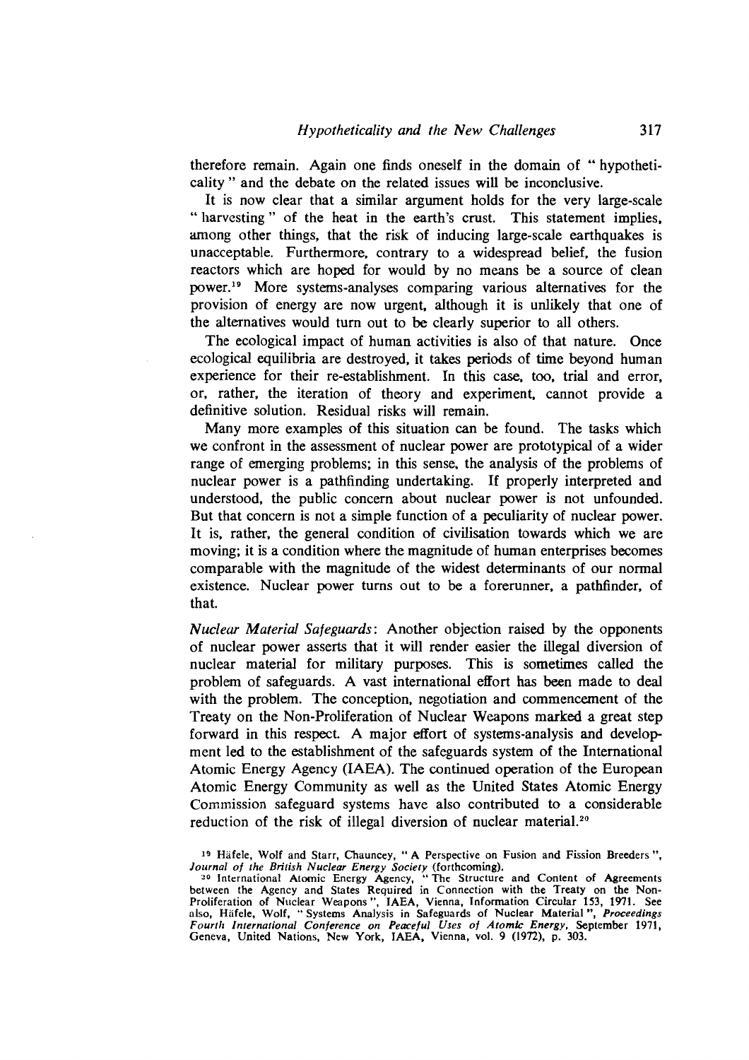therefore remain. Again one finds oneself in the domain of " hypotheticality " and the debate on the related issues will be inconclusive.

It is now clear that a similar argument holds for the very large-scale " harvesting " of the heat in the earth's crust. This statement implies, among other things, that the risk of inducing large-scale earthquakes is unacceptable. Furthermore, contrary to a widespread belief, the fusion reactors which are hoped for would by no means be a source of clean power.<sup>19</sup> More systems-analyses comparing various alternatives for the provision of energy are now urgent, although it is unlikely that one of the alternatives would turn out to be clearly superior to all others.

The ecological impact of human activities is also of that nature. Once ecological equilibria are destroyed, it takes periods of time beyond human experience for their re-establishment. In this case, too, trial and error, or, rather, the iteration of theory and experiment, cannot provide a definitive solution. Residual risks will remain.

Many more examples of this situation can be found. The tasks which we confront in the assessment of nuclear power are prototypical of a wider range of emerging problems; in this sense, the analysis of the problems of nuclear power is a pathfinding undertaking. If properly interpreted and understood, the public concern about nuclear power is not unfounded. But that concern is not a simple function of a peculiarity of nuclear power. It is, rather, the general condition of civilisation towards which we are moving; it is a condition where the magnitude of human enterprises becomes comparable with the magnitude of the widest determinants of our normal existence. Nuclear power turns out to be a forerunner, a pathfinder, of that.

*Nuclear Material Safeguards* : Another objection raised by the opponents of nuclear power asserts that it will render easier the illegal diversion of nuclear material for military purposes. This is sometimes called the problem of safeguards. A vast international effort has been made to deal with the problem. The conception, negotiation and commencement of the Treaty on the Non-Proliferation of Nuclear Weapons marked a great step forward in this respect. A major effort of systems-analysis and develop ment led to the establishment of the safeguards system of the International Atomic Energy Agency (IAEA). The continued operation of the European Atomic Energy Community as well as the United States Atomic Energy Commission safeguard systems have also contributed to a considerable reduction of the risk of illegal diversion of nuclear material.<sup>20</sup>

<sup>&</sup>lt;sup>19</sup> Häfele, Wolf and Starr, Chauncey, "A Perspective on Fusion and Fission Breeders", *Journal of the British Nuclear Energy Society* **(forthcoming). <sup>20</sup>International Atomic Energy Agency, "The Structure and Content of Agreements** 

**between the Agency and States Required in Connection with the Treaty on the Non-Proliferation of Nuclear Weapons** ", **IAEA, Vienna, Information Circular 153, 1971. See also, Hiifele. Wolf.** " **Systems Analysis in Safeguards of Nuclear Material** ", *Proceedings Fourth Inrernarional Conference on Peaceful Uses of Atomic Energy,* **September 1971, Geneva, United Nations, New York, IAEA, Vienna, vol. 9 (1972), p. 303.**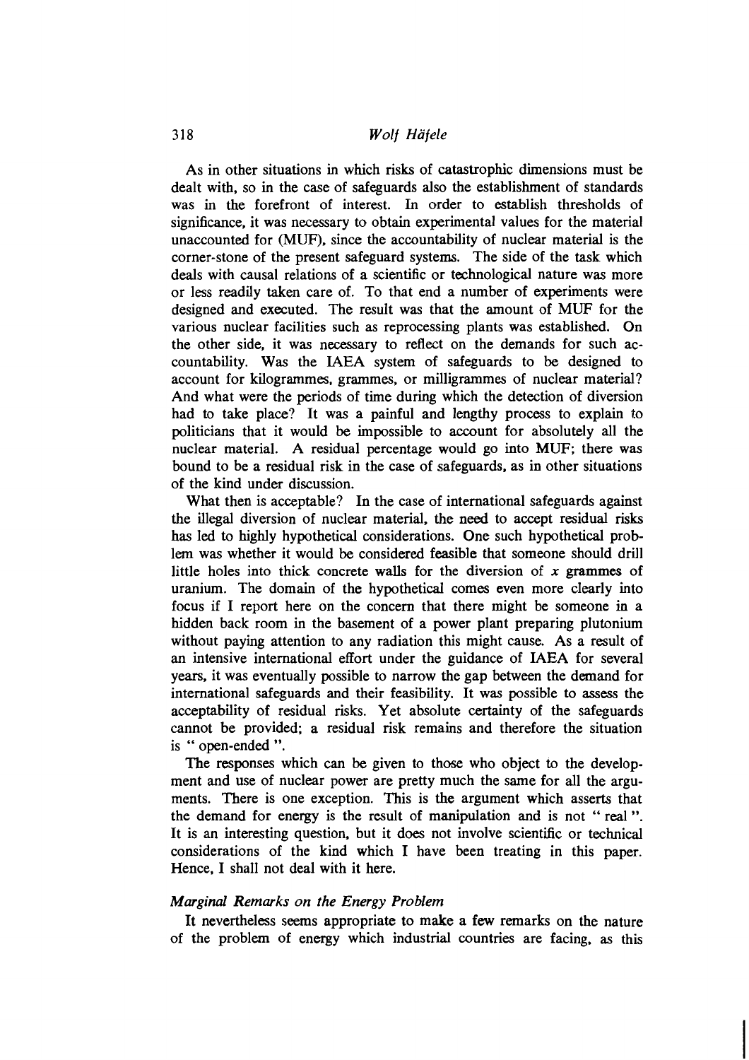As in other situations in which risks of catastrophic dimensions must be dealt with, so in the case of safeguards also the establishment of standards was in the forefront of interest. In order to establish thresholds of significance, it was necessary to obtain experimental values for the material unaccounted for (MUF), since the accountability of nuclear material is the corner-stone of the present safeguard systems. The side of the task which deals with causal relations of a scientific or technological nature was more or less readily taken care of. To that end a number of experiments were designed and executed. The result was that the amount of MUF for the various nuclear facilities such as reprocessing plants was established. On the other side, it was necessary to reflect on the demands for such accountability. Was the IAEA system of safeguards to be designed to account for kilogrammes, grammes, or milligrammes of nuclear material? And what were the periods of time during which the detection of diversion had to take place? It was a painful and lengthy process to explain to politicians that it would be impossible to account for absolutely all the nuclear material. A residual percentage would go into MUF; there was bound to be a residual risk in the case of safeguards, as in other situations of the kind under discussion.

What then is acceptable? In the case of international safeguards against the illegal diversion of nuclear material, the need to accept residual risks has led to highly hypothetical considerations. One such hypothetical problem was whether it would be considered feasible that someone should drill little holes into thick concrete walls for the diversion of **x** grammes of uranium. The domain of the hypothetical comes even more clearly into focus if I report here on the concern that there might be someone in a hidden back room in the basement of a power plant preparing plutonium without paying attention to any radiation this might cause. As a result of an intensive international effort under the guidance of IAEA for several years, it was eventually possible to narrow the gap between the demand for international safeguards and their feasibility. It was possible to **assess** the acceptability of residual risks. Yet absolute certainty of the safeguards cannot be provided; a residual risk remains and therefore the situation is " open-ended ".

The responses which can be given to those who object to the development and use of nuclear power are pretty much the same for all the arguments. There is one exception. This is the argument which asserts that the demand for energy is the result of manipulation and is not " real ". It is an interesting question, but it does not involve scientific or technical considerations of the kind which I have been treating in this paper. Hence. I shall not deal with it here.

#### **Marginal** *Remarks on the Energy Problem*

It nevertheless seems appropriate to make a few remarks on the nature of the problem of energy which industrial countries are facing. as this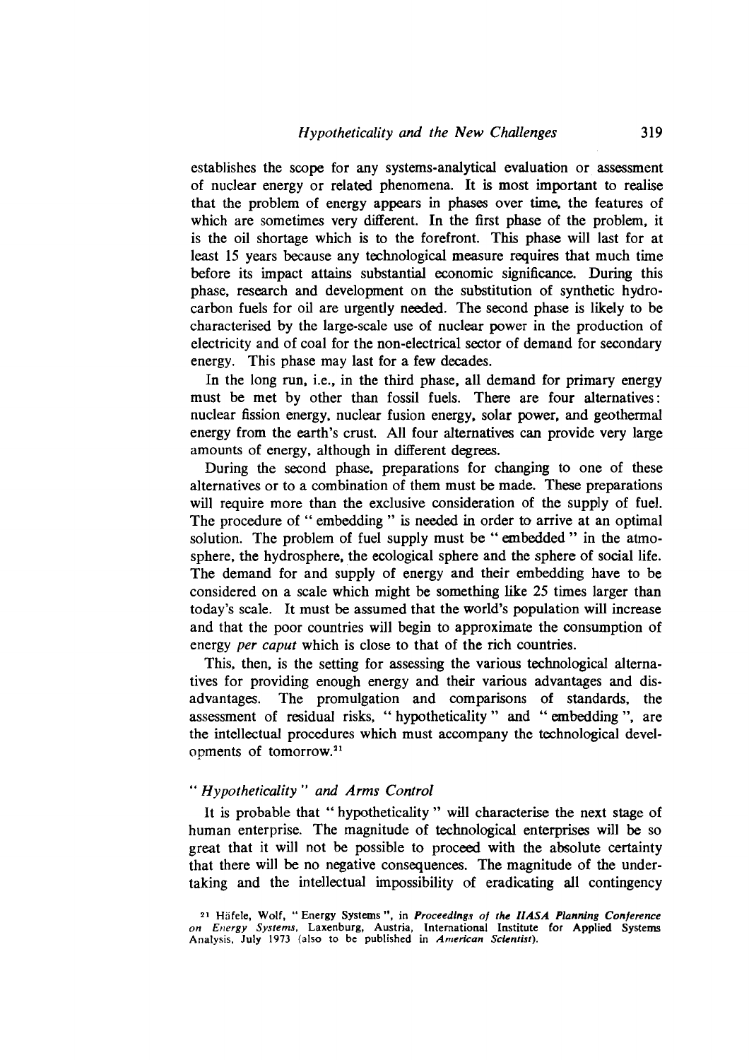establishes the scope for any systems-analytical evaluation or assessment of nuclear energy or related phenomena. It is most important to realise that the problem of energy appears in phases over time. the features of which are sometimes very different. In the first phase of the problem, it is the oil shortage which is to the forefront. This phase will last for at least 15 years because any technological measure requires that much time before its impact attains substantial economic significance. During this phase, research and development on the substitution of synthetic hydrocarbon fuels for oil are urgently needed. The second phase is likely to be characterised by the large-scale use of nuclear power in the production of electricity and of coal for the non-electrical sector of demand for secondary energy. This phase may last for a few decades.

In the long run, i.e., in the third phase, all demand for primary energy must be met by other than fossil fuels. There are four alternatives: nuclear fission energy, nuclear fusion energy, solar power, and geothermal energy from the earth's crust. All four alternatives can provide very large amounts of energy, although in different degrees.

During the second phase, preparations for changing to one of these alternatives or to a combination of them must be made. These preparations will require more than the exclusive consideration of the supply of fuel. The procedure of " embedding " is needed in order to arrive at an optimal solution. The problem of fuel supply must be "embedded" in the atmosphere, the hydrosphere, the ecological sphere and the sphere of social life. The demand for and supply of energy and their embedding have to be considered on a scale which might be something like 25 times larger than today's scale. It must be assumed that the world's population will increase and that the poor countries will begin to approximate the consumption of energy *per caput* which is close to that of the rich countries.

This, then, is the setting for assessing the various technological alternatives for providing enough energy and their various advantages and disadvantages. The promulgation and comparisons of standards, the assessment of residual risks. " hypotheticality " and " embedding ", are the intellectual procedures which must accompany the technological developments of tomorrow.<sup>21</sup>

### " *Hypotheticality* " **and** *Arms Control*

It is probable that " hypotheticality " will characterise the next stage of human enterprise. The magnitude of technological enterprises will be so great that it will not be possible to proceed with the absolute certainty that there will be no negative consequences. The magnitude of the undertaking and the intellectual impossibility of eradicating all contingency

**<sup>21</sup>Hiifele, Wolf,** " **Energy Systems** ", **in** *Proceedfngr of the IIASA Planning Conference on Energy Systems,* **Laxenburg, Austria, International Institute for Applied Systems Analysis. July 1973 (also to be published in** *Anierican Scknrisr).*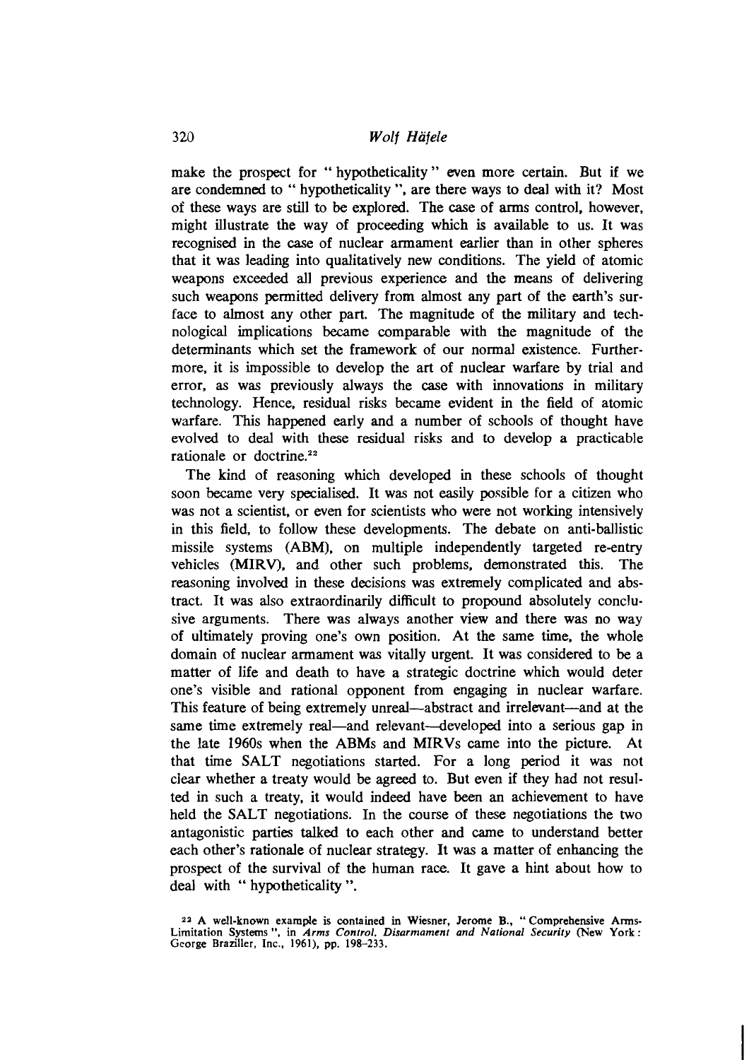make the prospect for " hypotheticality " even more certain. But if we are condemned to " hypotheticality ", are there ways to deal with it? Most of these ways are still to be explored. The case of arms control, however. might illustrate the way of proceeding which is available to us. It was recognised in the case of nuclear armament earlier than in other spheres that it was leading into qualitatively new conditions. The yield of atomic weapons exceeded all previous experience and the means of delivering such weapons permitted delivery from almost any part of the earth's surface to almost any other part. The magnitude of the military and technological implications became comparable with the magnitude of the determinants which set the framework of our normal existence. Furthermore, it is impossible to develop the art of nuclear warfare by trial and error, as was previously always the case with innovations in military technology. Hence, residual risks became evident in the field of atomic warfare. This happened early and a number of schools of thought have evolved to deal with these residual risks and to develop a practicable rationale or doctrine.<sup>22</sup>

The kind of reasoning which developed in these schools of thought soon became very specialised. It was not easily possible for a citizen who was not a scientist, or even for scientists who were not working intensively in this field, to follow these developments. The debate on anti-ballistic missile systems (ABM), on multiple independently targeted re-entry vehicles (MIRV), and other such problems, demonstrated this. The reasoning involved in these decisions was extremely complicated and abstract. It was also extraordinarily difficult to propound absolutely conclusive arguments. There was always another view and there was no way of ultimately proving one's own position. At the same time, the whole domain of nuclear armament was vitally urgent. It was considered to be a matter of life and death to have a strategic doctrine which would deter one's visible and rational opponent from engaging in nuclear warfare. This feature of being extremely unreal—abstract and irrelevant—and at the same time extremely real-and relevant--developed into a serious gap in the late 1960s when the ABMs and MIRVs came into the picture. At that time SALT negotiations started. For a long period it was not clear whether a treaty would be agreed to. But even if they had not resulted in such a treaty, it would indeed have been an achievement to have held the SALT negotiations. In the course of these negotiations the two antagonistic parties talked to each other and came to understand better each other's rationale of nuclear strategy. It was a matter of enhancing the prospect of the survival of the human race. It gave a hint about how to deal with " hypotheticality ".

<sup>22</sup> A **well-known example is contained in Wiesner, Jerome B., "Comprehensive Arms-Limitation Systems** ", **in Arms Control. Disarmament and National Security (New York: George Braziller, Inc., 1961), pp. 198-233.**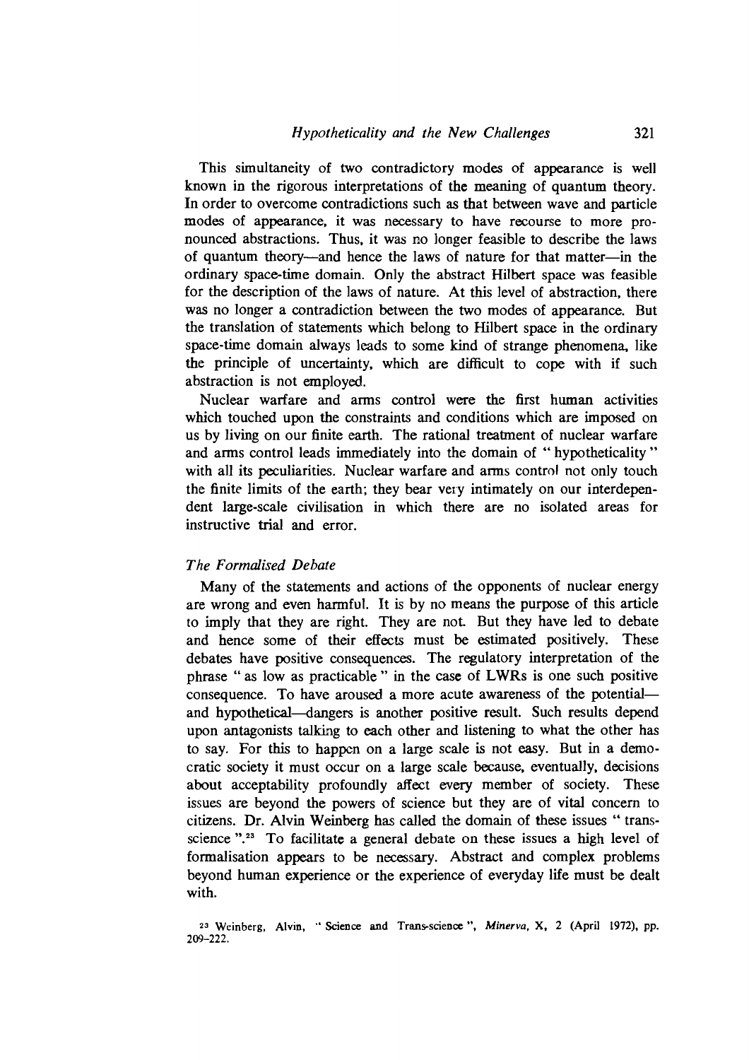This simultaneity of two contradictory modes of appearance is well known in the rigorous interpretations of the meaning of quantum theory. In order to overcome contradictions such as that between wave and particle modes of appearance, it was necessary to have recourse to more pronounced abstractions. Thus. it was no longer feasible to describe the laws of quantum theory-and hence the laws of nature for that matter-in the ordinary space-time domain. Only the abstract Hilbert space was feasible for the description of the laws of nature. At this level of abstraction, there was no longer a contradiction between the two modes of appearance. But the translation of statements which belong to Hilbert space in the ordinary space-time domain always leads to some kind of strange phenomena, like the principle of uncertainty, which are difficult to cope with if such abstraction is not employed.

Nuclear warfare and arms control were the first human activities which touched upon the constraints and conditions which are imposed on us by living on our finite earth. The rational treatment of nuclear warfare and arms control leads immediately into the domain of " hypotheticality " with all its peculiarities. Nuclear warfare and arms control not only touch the finite limits of the earth; they bear very intimately on our interdependent large-scale civilisation in which there are no isolated areas for instructive trial and error.

#### *The Formalised Debate*

Many of the statements and actions of the opponents of nuclear energy are wrong and even harmful. It is by no means the purpose of this article to imply that they are right. They are not. But they have led to debate and hence some of their effects must be estimated positively. These debates have positive consequences. The regulatory interpretation of the phrase " as low as practicable " in the case of LWRs is one such positive consequence. To have aroused a more acute awareness of the potentialand hypothetical-dangers is another positive result. Such results depend upon antagonists talking to each other and listening to what the other has to say. For this to happcn on a large scale is not easy. But in a democratic society it must occur on a large scale because, eventually. decisions about acceptability profoundly affect **every** member of society. These issues are beyond the powers of science but they are of vital concern to citizens. Dr. Alvin Weinberg has called the domain of these issues " transscience **".23** TO facilitate a general debate on these issues a high level of formalisation appears to be necessary. Abstract and complex problems beyond human experience or the experience of everyday life must be dealt with.

**<sup>23</sup>Weinberg, Alvin,** " **Science and Trans-science** ", **Minervo. X. 2 (April 1972), pp. 209-222.**